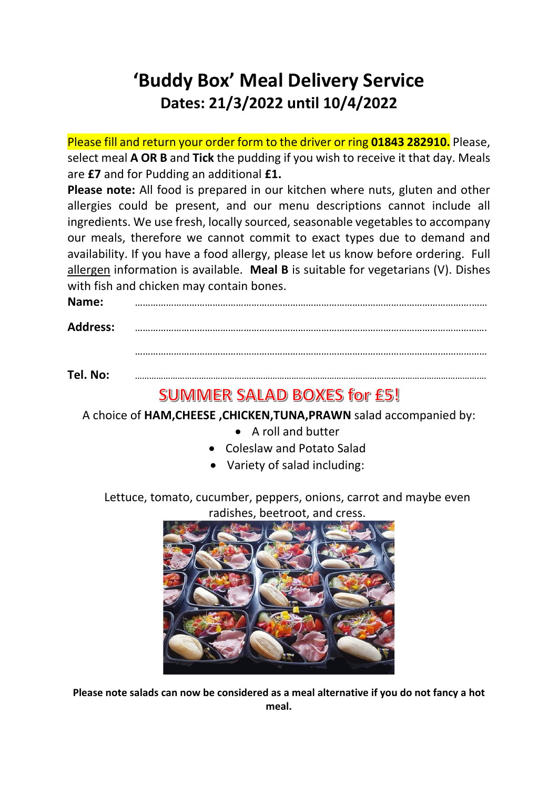# **'Buddy Box' Meal Delivery Service Dates: 21/3/2022 until 10/4/2022**

Please fill and return your order form to the driver or ring **01843 282910.** Please, select meal **A OR B** and **Tick** the pudding if you wish to receive it that day. Meals are **£7** and for Pudding an additional **£1.**

**Please note:** All food is prepared in our kitchen where nuts, gluten and other allergies could be present, and our menu descriptions cannot include all ingredients. We use fresh, locally sourced, seasonable vegetables to accompany our meals, therefore we cannot commit to exact types due to demand and availability. If you have a food allergy, please let us know before ordering. Full allergen information is available. **Meal B** is suitable for vegetarians (V). Dishes with fish and chicken may contain bones.

**Name:** ………………………………………………………………………………………………………………….……

**Address:** ……………………………………………………………………………………………………………………….

……………………………………………………………………………………………………….………………

**Tel. No:** ……………………………………………………………………………………………………………………………….…

#### **SUMMER SALAD BOXES for £5!**

A choice of **HAM,CHEESE ,CHICKEN,TUNA,PRAWN** salad accompanied by:

- A roll and butter
- Coleslaw and Potato Salad
- Variety of salad including:

Lettuce, tomato, cucumber, peppers, onions, carrot and maybe even radishes, beetroot, and cress.



**Please note salads can now be considered as a meal alternative if you do not fancy a hot meal.**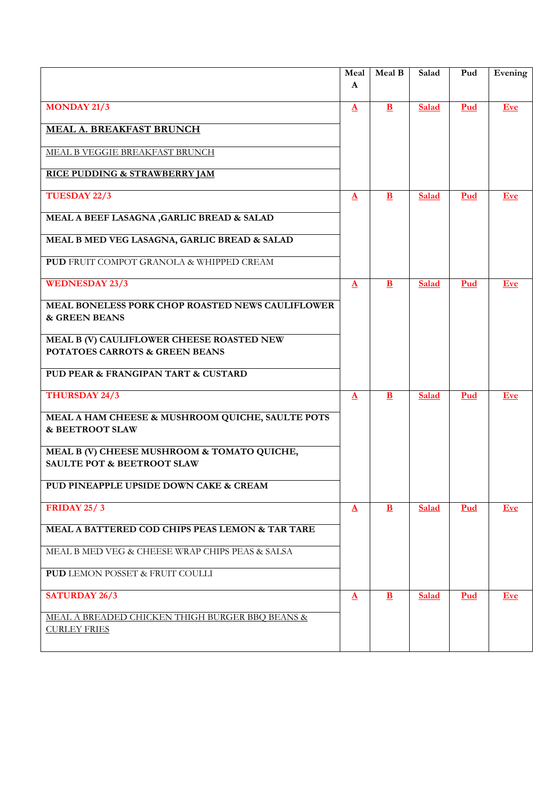|                                                                                        | Meal         | Meal B       | Salad        | Pud | Evening    |
|----------------------------------------------------------------------------------------|--------------|--------------|--------------|-----|------------|
|                                                                                        | $\mathbf{A}$ |              |              |     |            |
| <b>MONDAY 21/3</b>                                                                     | A            | $\mathbf{B}$ | Salad        | Pud | <b>Eve</b> |
| MEAL A. BREAKFAST BRUNCH                                                               |              |              |              |     |            |
| <b>MEAL B VEGGIE BREAKFAST BRUNCH</b>                                                  |              |              |              |     |            |
| RICE PUDDING & STRAWBERRY JAM                                                          |              |              |              |     |            |
| <b>TUESDAY 22/3</b>                                                                    | $\mathbf{A}$ | B            | Salad        | Pud | <b>Eve</b> |
| MEAL A BEEF LASAGNA , GARLIC BREAD & SALAD                                             |              |              |              |     |            |
| MEAL B MED VEG LASAGNA, GARLIC BREAD & SALAD                                           |              |              |              |     |            |
| <b>PUD FRUIT COMPOT GRANOLA &amp; WHIPPED CREAM</b>                                    |              |              |              |     |            |
| <b>WEDNESDAY 23/3</b>                                                                  | $\mathbf{A}$ | $\mathbf{B}$ | Salad        | Pud | <b>Eve</b> |
| MEAL BONELESS PORK CHOP ROASTED NEWS CAULIFLOWER<br><b>&amp; GREEN BEANS</b>           |              |              |              |     |            |
| MEAL B (V) CAULIFLOWER CHEESE ROASTED NEW<br><b>POTATOES CARROTS &amp; GREEN BEANS</b> |              |              |              |     |            |
| PUD PEAR & FRANGIPAN TART & CUSTARD                                                    |              |              |              |     |            |
| THURSDAY 24/3                                                                          | $\Delta$     | $\mathbf{B}$ | Salad        | Pud | <b>Eve</b> |
| MEAL A HAM CHEESE & MUSHROOM QUICHE, SAULTE POTS<br>& BEETROOT SLAW                    |              |              |              |     |            |
| MEAL B (V) CHEESE MUSHROOM & TOMATO QUICHE,<br><b>SAULTE POT &amp; BEETROOT SLAW</b>   |              |              |              |     |            |
| PUD PINEAPPLE UPSIDE DOWN CAKE & CREAM                                                 |              |              |              |     |            |
| <b>FRIDAY 25/3</b>                                                                     | $\Delta$     | $\mathbf{B}$ | Salad        | Pud | <b>Eve</b> |
| MEAL A BATTERED COD CHIPS PEAS LEMON & TAR TARE                                        |              |              |              |     |            |
| MEAL B MED VEG & CHEESE WRAP CHIPS PEAS & SALSA                                        |              |              |              |     |            |
| <b>PUD</b> LEMON POSSET & FRUIT COULLI                                                 |              |              |              |     |            |
| <b>SATURDAY 26/3</b>                                                                   | $\Delta$     | $\mathbf{B}$ | <b>Salad</b> | Pud | <b>Eve</b> |
| MEAL A BREADED CHICKEN THIGH BURGER BBQ BEANS &<br><b>CURLEY FRIES</b>                 |              |              |              |     |            |
|                                                                                        |              |              |              |     |            |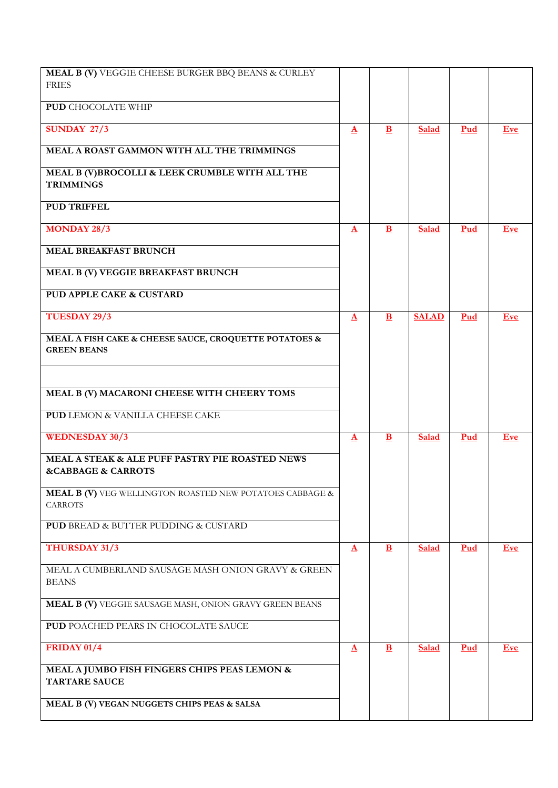| MEAL B (V) VEGGIE CHEESE BURGER BBQ BEANS & CURLEY<br><b>FRIES</b>          |              |              |              |            |            |
|-----------------------------------------------------------------------------|--------------|--------------|--------------|------------|------------|
| <b>PUD CHOCOLATE WHIP</b>                                                   |              |              |              |            |            |
| <b>SUNDAY 27/3</b>                                                          | $\Delta$     | $\mathbf{B}$ | Salad        | Pud        | <b>Eve</b> |
| MEAL A ROAST GAMMON WITH ALL THE TRIMMINGS                                  |              |              |              |            |            |
| MEAL B (V)BROCOLLI & LEEK CRUMBLE WITH ALL THE<br><b>TRIMMINGS</b>          |              |              |              |            |            |
| <b>PUD TRIFFEL</b>                                                          |              |              |              |            |            |
| <b>MONDAY 28/3</b>                                                          | $\mathbf{A}$ | $\bf{B}$     | Salad        | Pud        | Eve        |
| <b>MEAL BREAKFAST BRUNCH</b>                                                |              |              |              |            |            |
| MEAL B (V) VEGGIE BREAKFAST BRUNCH                                          |              |              |              |            |            |
| PUD APPLE CAKE & CUSTARD                                                    |              |              |              |            |            |
| <b>TUESDAY 29/3</b>                                                         | $\Delta$     | $\mathbf{B}$ | <b>SALAD</b> | Pud        | <b>Eve</b> |
| MEAL A FISH CAKE & CHEESE SAUCE, CROQUETTE POTATOES &<br><b>GREEN BEANS</b> |              |              |              |            |            |
|                                                                             |              |              |              |            |            |
| MEAL B (V) MACARONI CHEESE WITH CHEERY TOMS                                 |              |              |              |            |            |
| <b>PUD LEMON &amp; VANILLA CHEESE CAKE</b>                                  |              |              |              |            |            |
| <b>WEDNESDAY 30/3</b>                                                       | $\Delta$     | B            | Salad        | Pud        | Eve        |
| MEAL A STEAK & ALE PUFF PASTRY PIE ROASTED NEWS<br>&CABBAGE & CARROTS       |              |              |              |            |            |
| MEAL B (V) VEG WELLINGTON ROASTED NEW POTATOES CABBAGE &<br><b>CARROTS</b>  |              |              |              |            |            |
| <b>PUD BREAD &amp; BUTTER PUDDING &amp; CUSTARD</b>                         |              |              |              |            |            |
| THURSDAY 31/3                                                               | $\Delta$     | $\mathbf{B}$ | Salad        | Pud        | <b>Eve</b> |
| MEAL A CUMBERLAND SAUSAGE MASH ONION GRAVY & GREEN<br><b>BEANS</b>          |              |              |              |            |            |
| MEAL B (V) VEGGIE SAUSAGE MASH, ONION GRAVY GREEN BEANS                     |              |              |              |            |            |
| <b>PUD POACHED PEARS IN CHOCOLATE SAUCE</b>                                 |              |              |              |            |            |
| <b>FRIDAY 01/4</b>                                                          | $\Delta$     | $\mathbf{B}$ | Salad        | <b>Pud</b> | <b>Eve</b> |
| MEAL A JUMBO FISH FINGERS CHIPS PEAS LEMON &<br><b>TARTARE SAUCE</b>        |              |              |              |            |            |
| MEAL B (V) VEGAN NUGGETS CHIPS PEAS & SALSA                                 |              |              |              |            |            |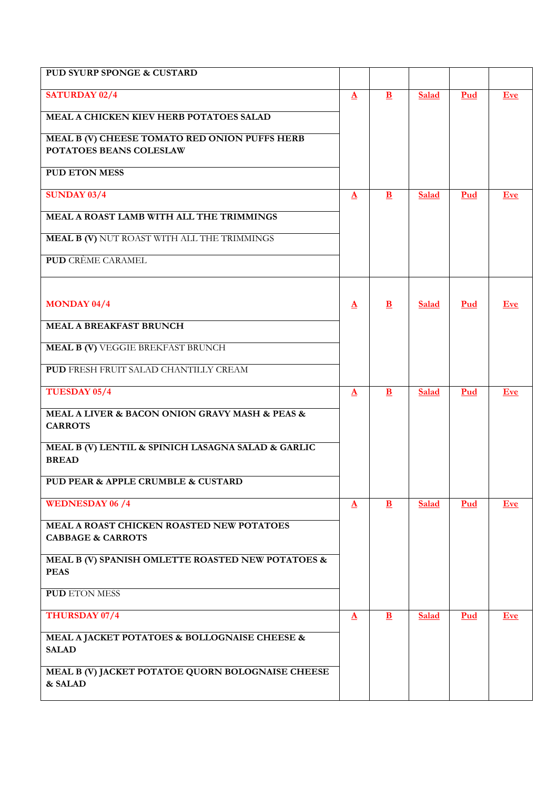| PUD SYURP SPONGE & CUSTARD                                                       |                    |              |              |            |            |
|----------------------------------------------------------------------------------|--------------------|--------------|--------------|------------|------------|
| <b>SATURDAY 02/4</b>                                                             | $\Delta$           | $\mathbf{B}$ | Salad        | <b>Pud</b> | Eve        |
| MEAL A CHICKEN KIEV HERB POTATOES SALAD                                          |                    |              |              |            |            |
| MEAL B (V) CHEESE TOMATO RED ONION PUFFS HERB                                    |                    |              |              |            |            |
| POTATOES BEANS COLESLAW                                                          |                    |              |              |            |            |
| <b>PUD ETON MESS</b>                                                             |                    |              |              |            |            |
| <b>SUNDAY 03/4</b>                                                               | $\mathbf{\Lambda}$ | $\mathbf{B}$ | Salad        | Pud        | <b>Eve</b> |
| MEAL A ROAST LAMB WITH ALL THE TRIMMINGS                                         |                    |              |              |            |            |
| <b>MEAL B (V) NUT ROAST WITH ALL THE TRIMMINGS</b>                               |                    |              |              |            |            |
| <b>PUD CRÈME CARAMEL</b>                                                         |                    |              |              |            |            |
|                                                                                  |                    |              |              |            |            |
| <b>MONDAY 04/4</b>                                                               | $\Delta$           | B            | <b>Salad</b> | Pud        | <b>Eve</b> |
| <b>MEAL A BREAKFAST BRUNCH</b>                                                   |                    |              |              |            |            |
| <b>MEAL B (V) VEGGIE BREKFAST BRUNCH</b>                                         |                    |              |              |            |            |
| <b>PUD FRESH FRUIT SALAD CHANTILLY CREAM</b>                                     |                    |              |              |            |            |
| <b>TUESDAY 05/4</b>                                                              | $\Delta$           | $\mathbf{B}$ | Salad        | Pud        | Eve        |
| MEAL A LIVER & BACON ONION GRAVY MASH & PEAS &<br><b>CARROTS</b>                 |                    |              |              |            |            |
| MEAL B (V) LENTIL & SPINICH LASAGNA SALAD & GARLIC<br><b>BREAD</b>               |                    |              |              |            |            |
| PUD PEAR & APPLE CRUMBLE & CUSTARD                                               |                    |              |              |            |            |
| <b>WEDNESDAY 06/4</b>                                                            | $\Delta$           | B            | Salad        | Pud        | <b>Eve</b> |
| <b>MEAL A ROAST CHICKEN ROASTED NEW POTATOES</b><br><b>CABBAGE &amp; CARROTS</b> |                    |              |              |            |            |
| MEAL B (V) SPANISH OMLETTE ROASTED NEW POTATOES &<br><b>PEAS</b>                 |                    |              |              |            |            |
| <b>PUD ETON MESS</b>                                                             |                    |              |              |            |            |
| THURSDAY 07/4                                                                    | $\Delta$           | $\mathbf{B}$ | Salad        | Pud        | <b>Eve</b> |
| MEAL A JACKET POTATOES & BOLLOGNAISE CHEESE &<br><b>SALAD</b>                    |                    |              |              |            |            |
| MEAL B (V) JACKET POTATOE QUORN BOLOGNAISE CHEESE<br>& SALAD                     |                    |              |              |            |            |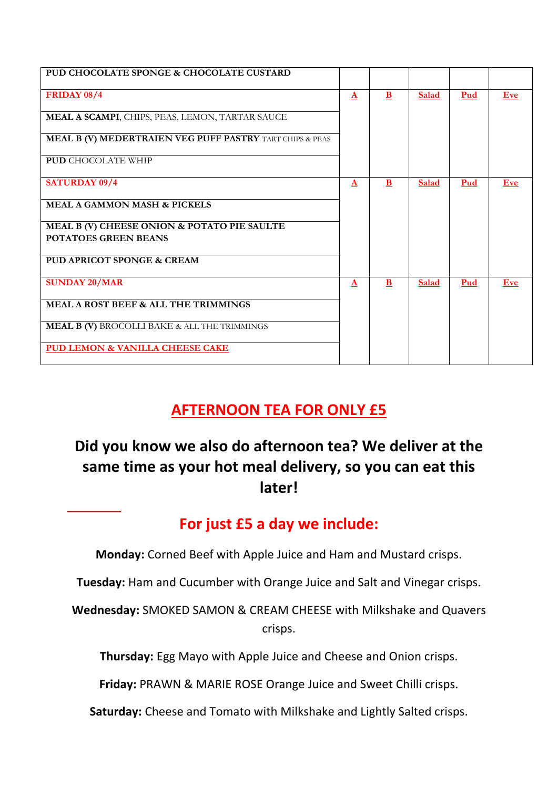| PUD CHOCOLATE SPONGE & CHOCOLATE CUSTARD                 |              |   |              |     |            |
|----------------------------------------------------------|--------------|---|--------------|-----|------------|
| <b>FRIDAY 08/4</b>                                       | $\mathbf{A}$ | B | <b>Salad</b> | Pud | <b>Eve</b> |
| MEAL A SCAMPI, CHIPS, PEAS, LEMON, TARTAR SAUCE          |              |   |              |     |            |
| MEAL B (V) MEDERTRAIEN VEG PUFF PASTRY TART CHIPS & PEAS |              |   |              |     |            |
| PUD CHOCOLATE WHIP                                       |              |   |              |     |            |
| <b>SATURDAY 09/4</b>                                     | $\Delta$     | B | <b>Salad</b> | Pud | <b>Eve</b> |
| <b>MEAL A GAMMON MASH &amp; PICKELS</b>                  |              |   |              |     |            |
| MEAL B (V) CHEESE ONION & POTATO PIE SAULTE              |              |   |              |     |            |
| <b>POTATOES GREEN BEANS</b>                              |              |   |              |     |            |
| <b>PUD APRICOT SPONGE &amp; CREAM</b>                    |              |   |              |     |            |
| <b>SUNDAY 20/MAR</b>                                     | $\Delta$     | B | <b>Salad</b> | Pud | <b>Eve</b> |
| MEAL A ROST BEEF & ALL THE TRIMMINGS                     |              |   |              |     |            |
| <b>MEAL B (V) BROCOLLI BAKE &amp; ALL THE TRIMMINGS</b>  |              |   |              |     |            |
| PUD LEMON & VANILLA CHEESE CAKE                          |              |   |              |     |            |

### **AFTERNOON TEA FOR ONLY £5**

## **Did you know we also do afternoon tea? We deliver at the same time as your hot meal delivery, so you can eat this later!**

### **For just £5 a day we include:**

**Monday:** Corned Beef with Apple Juice and Ham and Mustard crisps.

**Tuesday:** Ham and Cucumber with Orange Juice and Salt and Vinegar crisps.

**Wednesday:** SMOKED SAMON & CREAM CHEESE with Milkshake and Quavers crisps.

**Thursday:** Egg Mayo with Apple Juice and Cheese and Onion crisps.

**Friday:** PRAWN & MARIE ROSE Orange Juice and Sweet Chilli crisps.

**Saturday:** Cheese and Tomato with Milkshake and Lightly Salted crisps.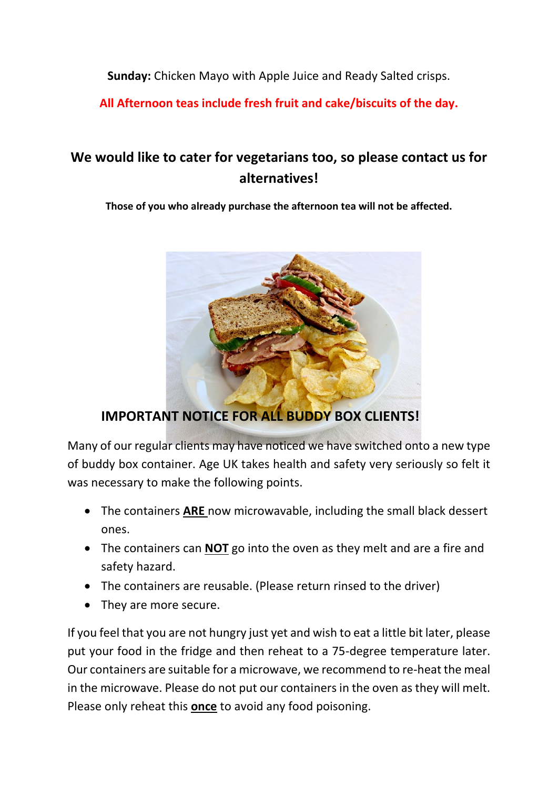**Sunday:** Chicken Mayo with Apple Juice and Ready Salted crisps.

**All Afternoon teas include fresh fruit and cake/biscuits of the day.**

#### **We would like to cater for vegetarians too, so please contact us for alternatives!**

**Those of you who already purchase the afternoon tea will not be affected.**



#### **IMPORTANT NOTICE FOR ALL BUDDY BOX CLIENTS!**

Many of our regular clients may have noticed we have switched onto a new type of buddy box container. Age UK takes health and safety very seriously so felt it was necessary to make the following points.

- The containers **ARE** now microwavable, including the small black dessert ones.
- The containers can **NOT** go into the oven as they melt and are a fire and safety hazard.
- The containers are reusable. (Please return rinsed to the driver)
- They are more secure.

If you feel that you are not hungry just yet and wish to eat a little bit later, please put your food in the fridge and then reheat to a 75-degree temperature later. Our containers are suitable for a microwave, we recommend to re-heat the meal in the microwave. Please do not put our containers in the oven as they will melt. Please only reheat this **once** to avoid any food poisoning.